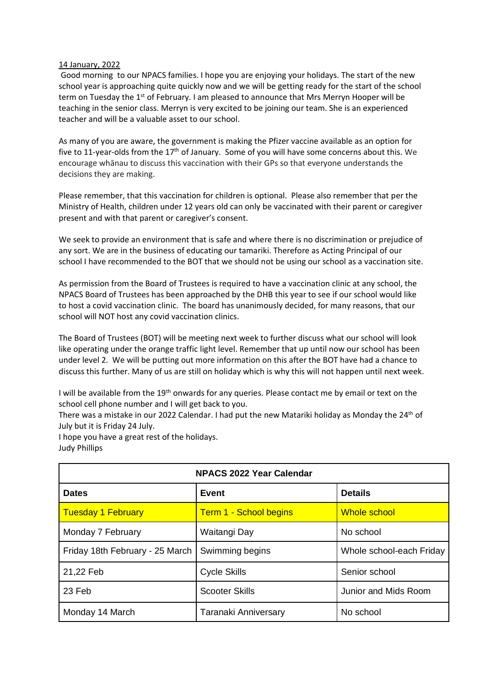## 14 January, 2022

Good morning to our NPACS families. I hope you are enjoying your holidays. The start of the new school year is approaching quite quickly now and we will be getting ready for the start of the school term on Tuesday the 1<sup>st</sup> of February. I am pleased to announce that Mrs Merryn Hooper will be teaching in the senior class. Merryn is very excited to be joining our team. She is an experienced teacher and will be a valuable asset to our school.

As many of you are aware, the government is making the Pfizer vaccine available as an option for five to 11-year-olds from the 17th of January. Some of you will have some concerns about this. We encourage whānau to discuss this vaccination with their GPs so that everyone understands the decisions they are making.

Please remember, that this vaccination for children is optional. Please also remember that per the Ministry of Health, children under 12 years old can only be vaccinated with their parent or caregiver present and with that parent or caregiver's consent.

We seek to provide an environment that is safe and where there is no discrimination or prejudice of any sort. We are in the business of educating our tamariki. Therefore as Acting Principal of our school I have recommended to the BOT that we should not be using our school as a vaccination site.

As permission from the Board of Trustees is required to have a vaccination clinic at any school, the NPACS Board of Trustees has been approached by the DHB this year to see if our school would like to host a covid vaccination clinic. The board has unanimously decided, for many reasons, that our school will NOT host any covid vaccination clinics.

The Board of Trustees (BOT) will be meeting next week to further discuss what our school will look like operating under the orange traffic light level. Remember that up until now our school has been under level 2. We will be putting out more information on this after the BOT have had a chance to discuss this further. Many of us are still on holiday which is why this will not happen until next week.

I will be available from the 19<sup>th</sup> onwards for any queries. Please contact me by email or text on the school cell phone number and I will get back to you.

There was a mistake in our 2022 Calendar. I had put the new Matariki holiday as Monday the 24<sup>th</sup> of July but it is Friday 24 July.

I hope you have a great rest of the holidays. Judy Phillips

| <b>NPACS 2022 Year Calendar</b> |                               |                          |  |
|---------------------------------|-------------------------------|--------------------------|--|
| <b>Dates</b>                    | Event                         | <b>Details</b>           |  |
| <b>Tuesday 1 February</b>       | <b>Term 1 - School begins</b> | <b>Whole school</b>      |  |
| Monday 7 February               | Waitangi Day                  | No school                |  |
| Friday 18th February - 25 March | Swimming begins               | Whole school-each Friday |  |
| 21,22 Feb                       | <b>Cycle Skills</b>           | Senior school            |  |
| 23 Feb                          | <b>Scooter Skills</b>         | Junior and Mids Room     |  |
| Monday 14 March                 | Taranaki Anniversary          | No school                |  |